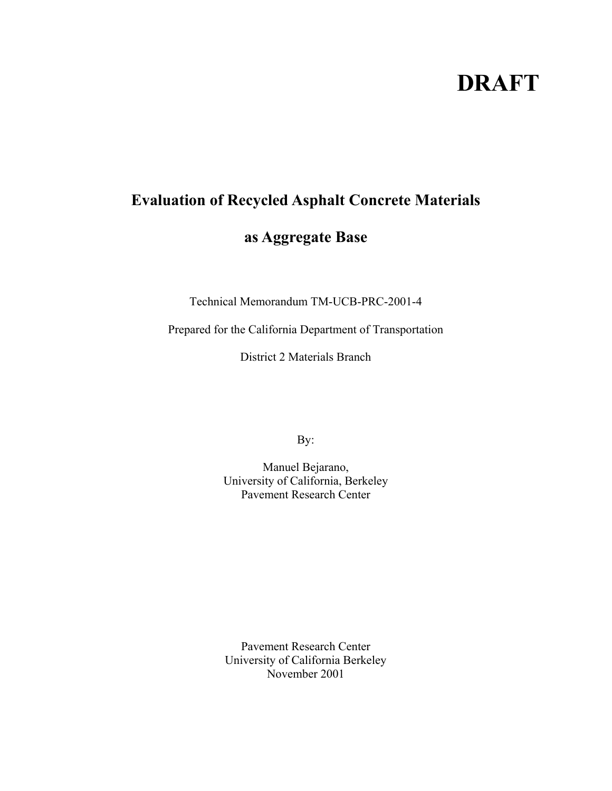# **DRAFT**

# **Evaluation of Recycled Asphalt Concrete Materials**

# **as Aggregate Base**

Technical Memorandum TM-UCB-PRC-2001-4

Prepared for the California Department of Transportation

District 2 Materials Branch

By:

Manuel Bejarano, University of California, Berkeley Pavement Research Center

Pavement Research Center University of California Berkeley November 2001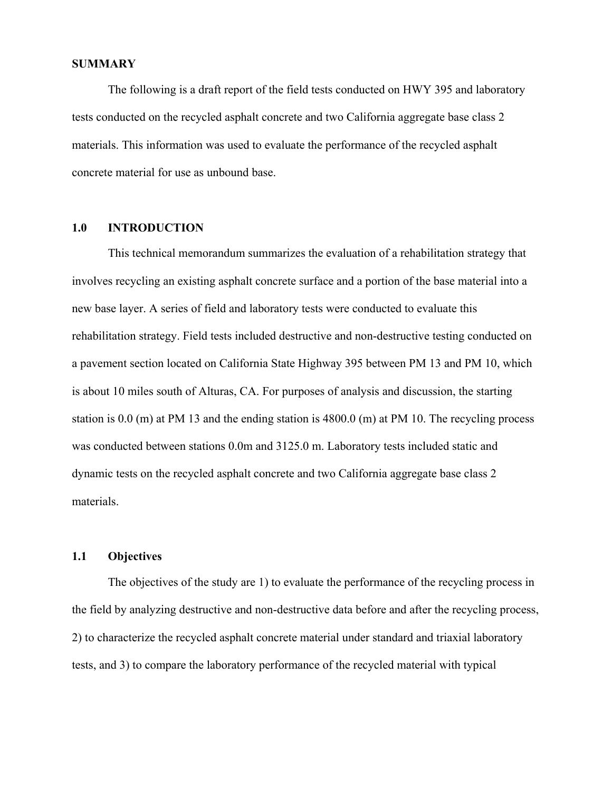#### **SUMMARY**

 The following is a draft report of the field tests conducted on HWY 395 and laboratory tests conducted on the recycled asphalt concrete and two California aggregate base class 2 materials. This information was used to evaluate the performance of the recycled asphalt concrete material for use as unbound base.

## **1.0 INTRODUCTION**

 This technical memorandum summarizes the evaluation of a rehabilitation strategy that involves recycling an existing asphalt concrete surface and a portion of the base material into a new base layer. A series of field and laboratory tests were conducted to evaluate this rehabilitation strategy. Field tests included destructive and non-destructive testing conducted on a pavement section located on California State Highway 395 between PM 13 and PM 10, which is about 10 miles south of Alturas, CA. For purposes of analysis and discussion, the starting station is 0.0 (m) at PM 13 and the ending station is 4800.0 (m) at PM 10. The recycling process was conducted between stations 0.0m and 3125.0 m. Laboratory tests included static and dynamic tests on the recycled asphalt concrete and two California aggregate base class 2 materials.

# **1.1 Objectives**

 The objectives of the study are 1) to evaluate the performance of the recycling process in the field by analyzing destructive and non-destructive data before and after the recycling process, 2) to characterize the recycled asphalt concrete material under standard and triaxial laboratory tests, and 3) to compare the laboratory performance of the recycled material with typical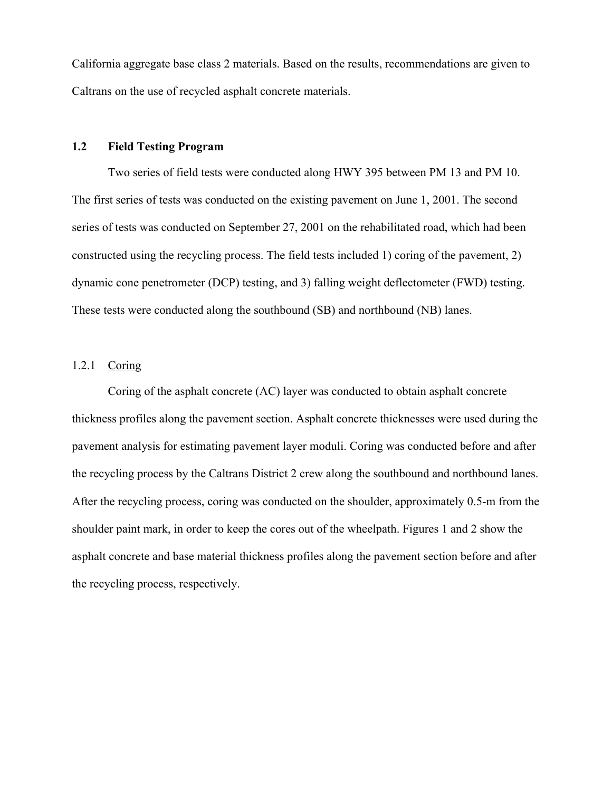California aggregate base class 2 materials. Based on the results, recommendations are given to Caltrans on the use of recycled asphalt concrete materials.

#### **1.2 Field Testing Program**

 Two series of field tests were conducted along HWY 395 between PM 13 and PM 10. The first series of tests was conducted on the existing pavement on June 1, 2001. The second series of tests was conducted on September 27, 2001 on the rehabilitated road, which had been constructed using the recycling process. The field tests included 1) coring of the pavement, 2) dynamic cone penetrometer (DCP) testing, and 3) falling weight deflectometer (FWD) testing. These tests were conducted along the southbound (SB) and northbound (NB) lanes.

# 1.2.1 Coring

 Coring of the asphalt concrete (AC) layer was conducted to obtain asphalt concrete thickness profiles along the pavement section. Asphalt concrete thicknesses were used during the pavement analysis for estimating pavement layer moduli. Coring was conducted before and after the recycling process by the Caltrans District 2 crew along the southbound and northbound lanes. After the recycling process, coring was conducted on the shoulder, approximately 0.5-m from the shoulder paint mark, in order to keep the cores out of the wheelpath. Figures 1 and 2 show the asphalt concrete and base material thickness profiles along the pavement section before and after the recycling process, respectively.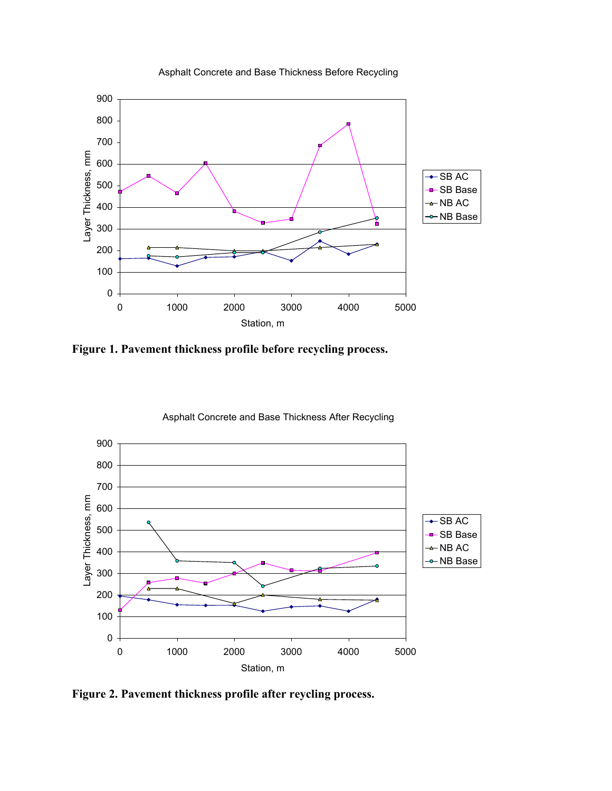

Asphalt Concrete and Base Thickness Before Recycling

**Figure 1. Pavement thickness profile before recycling process.** 



Asphalt Concrete and Base Thickness After Recycling

**Figure 2. Pavement thickness profile after reycling process.**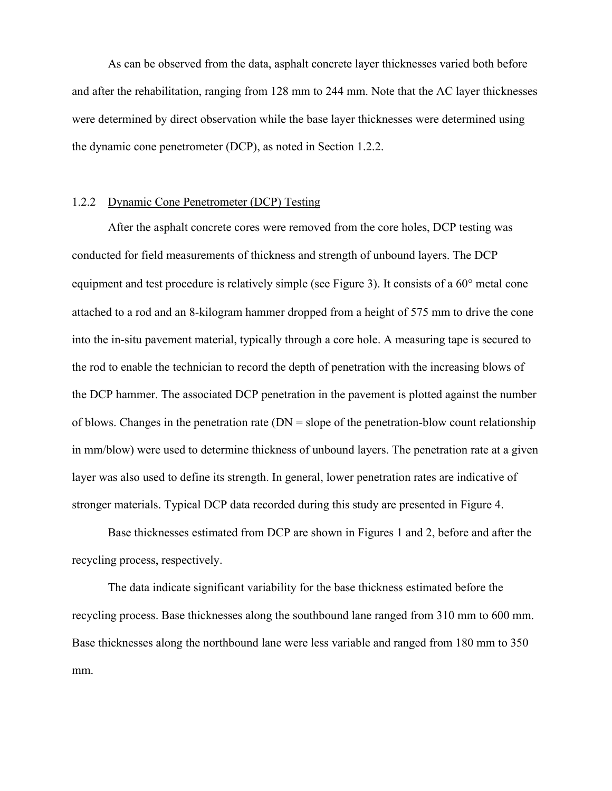As can be observed from the data, asphalt concrete layer thicknesses varied both before and after the rehabilitation, ranging from 128 mm to 244 mm. Note that the AC layer thicknesses were determined by direct observation while the base layer thicknesses were determined using the dynamic cone penetrometer (DCP), as noted in Section 1.2.2.

#### 1.2.2 Dynamic Cone Penetrometer (DCP) Testing

 After the asphalt concrete cores were removed from the core holes, DCP testing was conducted for field measurements of thickness and strength of unbound layers. The DCP equipment and test procedure is relatively simple (see Figure 3). It consists of a 60° metal cone attached to a rod and an 8-kilogram hammer dropped from a height of 575 mm to drive the cone into the in-situ pavement material, typically through a core hole. A measuring tape is secured to the rod to enable the technician to record the depth of penetration with the increasing blows of the DCP hammer. The associated DCP penetration in the pavement is plotted against the number of blows. Changes in the penetration rate  $(DN = slope of the penetration$ -blow count relationship in mm/blow) were used to determine thickness of unbound layers. The penetration rate at a given layer was also used to define its strength. In general, lower penetration rates are indicative of stronger materials. Typical DCP data recorded during this study are presented in Figure 4.

 Base thicknesses estimated from DCP are shown in Figures 1 and 2, before and after the recycling process, respectively.

 The data indicate significant variability for the base thickness estimated before the recycling process. Base thicknesses along the southbound lane ranged from 310 mm to 600 mm. Base thicknesses along the northbound lane were less variable and ranged from 180 mm to 350 mm.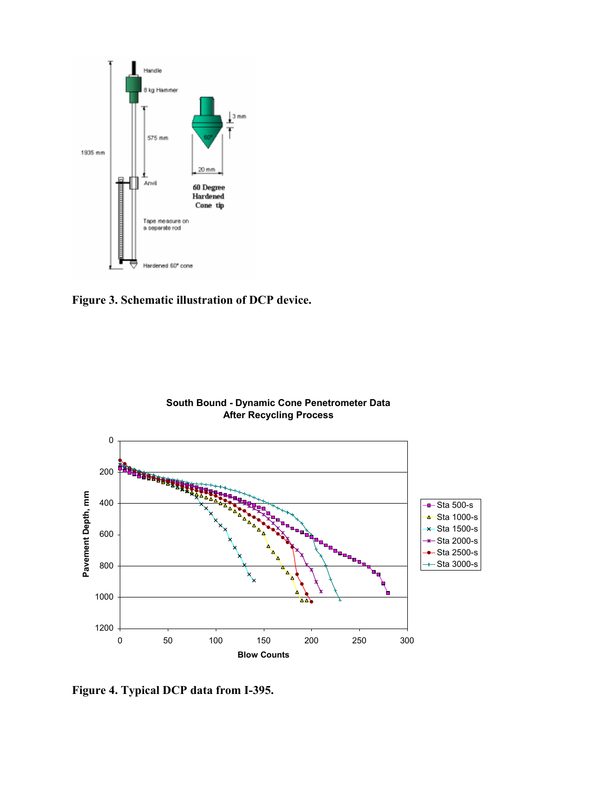

**Figure 3. Schematic illustration of DCP device.** 



**Figure 4. Typical DCP data from I-395.**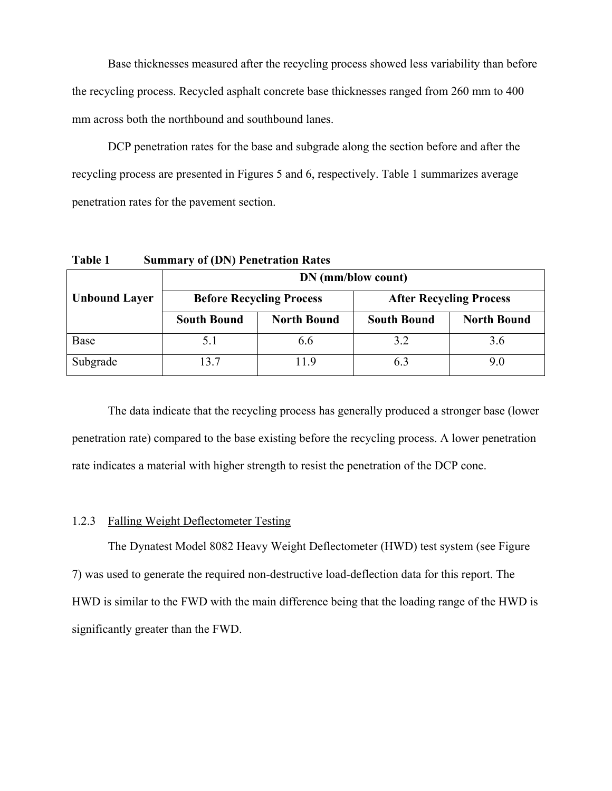Base thicknesses measured after the recycling process showed less variability than before the recycling process. Recycled asphalt concrete base thicknesses ranged from 260 mm to 400 mm across both the northbound and southbound lanes.

 DCP penetration rates for the base and subgrade along the section before and after the recycling process are presented in Figures 5 and 6, respectively. Table 1 summarizes average penetration rates for the pavement section.

**Table 1 Summary of (DN) Penetration Rates** 

|                      | DN (mm/blow count) |                                 |                                |                    |  |
|----------------------|--------------------|---------------------------------|--------------------------------|--------------------|--|
| <b>Unbound Layer</b> |                    | <b>Before Recycling Process</b> | <b>After Recycling Process</b> |                    |  |
|                      | <b>South Bound</b> | <b>North Bound</b>              | <b>South Bound</b>             | <b>North Bound</b> |  |
| Base                 |                    | 6.6                             | 3.2                            | 3.6                |  |
| Subgrade             | 13.7               | 119                             | 6.3                            | 9.0                |  |

 The data indicate that the recycling process has generally produced a stronger base (lower penetration rate) compared to the base existing before the recycling process. A lower penetration rate indicates a material with higher strength to resist the penetration of the DCP cone.

## 1.2.3 Falling Weight Deflectometer Testing

 The Dynatest Model 8082 Heavy Weight Deflectometer (HWD) test system (see Figure 7) was used to generate the required non-destructive load-deflection data for this report. The HWD is similar to the FWD with the main difference being that the loading range of the HWD is significantly greater than the FWD.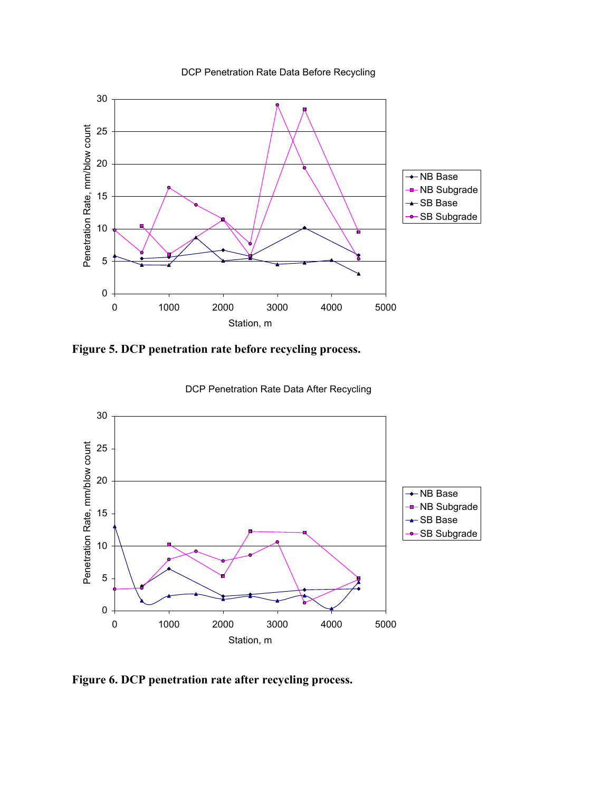

DCP Penetration Rate Data Before Recycling

**Figure 5. DCP penetration rate before recycling process.**



DCP Penetration Rate Data After Recycling

**Figure 6. DCP penetration rate after recycling process.**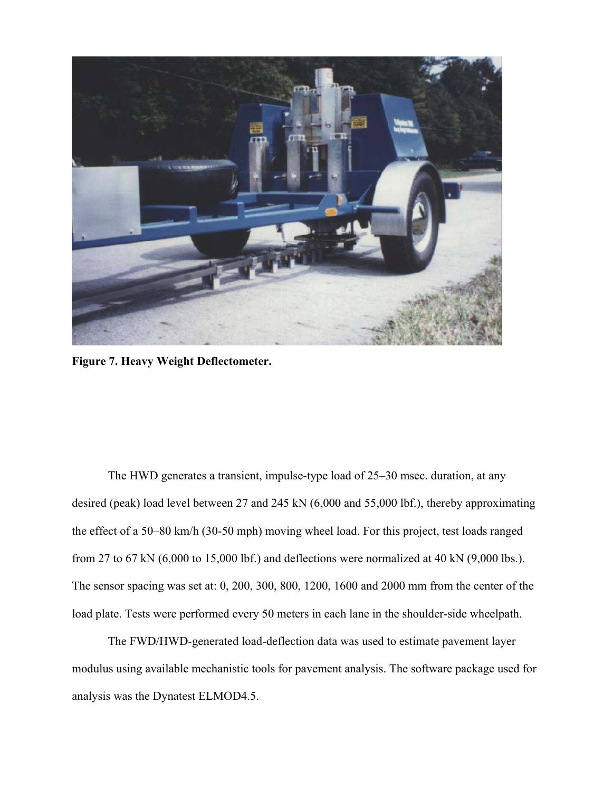

**Figure 7. Heavy Weight Deflectometer.** 

The HWD generates a transient, impulse-type load of 25–30 msec. duration, at any desired (peak) load level between 27 and 245 kN (6,000 and 55,000 lbf.), thereby approximating the effect of a 50–80 km/h (30-50 mph) moving wheel load. For this project, test loads ranged from 27 to 67 kN (6,000 to 15,000 lbf.) and deflections were normalized at 40 kN (9,000 lbs.). The sensor spacing was set at: 0, 200, 300, 800, 1200, 1600 and 2000 mm from the center of the load plate. Tests were performed every 50 meters in each lane in the shoulder-side wheelpath.

The FWD/HWD-generated load-deflection data was used to estimate pavement layer modulus using available mechanistic tools for pavement analysis. The software package used for analysis was the Dynatest ELMOD4.5.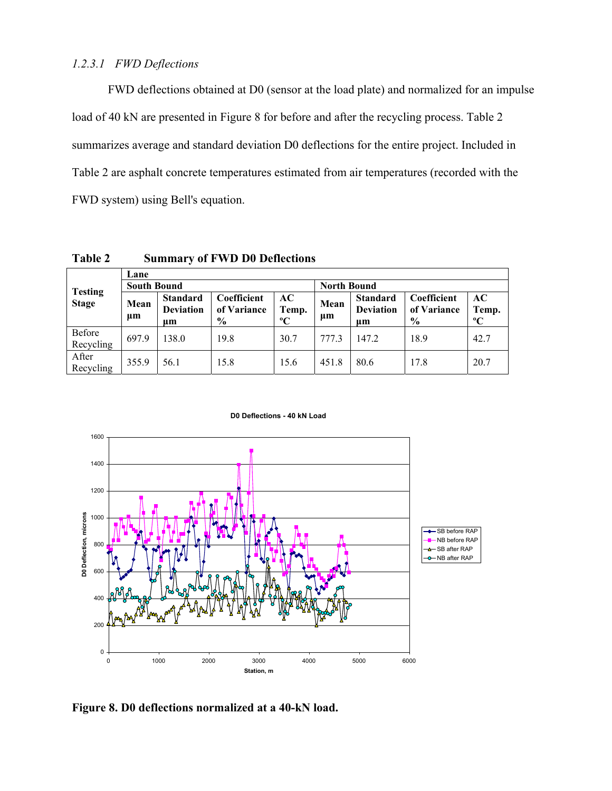### *1.2.3.1 FWD Deflections*

FWD deflections obtained at D0 (sensor at the load plate) and normalized for an impulse load of 40 kN are presented in Figure 8 for before and after the recycling process. Table 2 summarizes average and standard deviation D0 deflections for the entire project. Included in Table 2 are asphalt concrete temperatures estimated from air temperatures (recorded with the FWD system) using Bell's equation.

|                                | Lane               |                                           |                                    |                             |                    |                                           |                                             |                          |
|--------------------------------|--------------------|-------------------------------------------|------------------------------------|-----------------------------|--------------------|-------------------------------------------|---------------------------------------------|--------------------------|
| <b>Testing</b><br><b>Stage</b> | <b>South Bound</b> |                                           |                                    |                             | <b>North Bound</b> |                                           |                                             |                          |
|                                | Mean<br>$\mu$ m    | <b>Standard</b><br><b>Deviation</b><br>um | Coefficient<br>of Variance<br>$\%$ | AC-<br>Temp.<br>$\rm ^{o}C$ | Mean<br>$\mu$ m    | <b>Standard</b><br><b>Deviation</b><br>um | Coefficient<br>of Variance<br>$\frac{6}{9}$ | AC<br>Temp.<br>$\rm ^oC$ |
| Before<br>Recycling            | 697.9              | 138.0                                     | 19.8                               | 30.7                        | 777.3              | 147.2                                     | 18.9                                        | 42.7                     |
| After<br>Recycling             | 355.9              | 56.1                                      | 15.8                               | 15.6                        | 451.8              | 80.6                                      | 17.8                                        | 20.7                     |

**Table 2 Summary of FWD D0 Deflections**

**D0 Deflections - 40 kN Load**



**Figure 8. D0 deflections normalized at a 40-kN load.**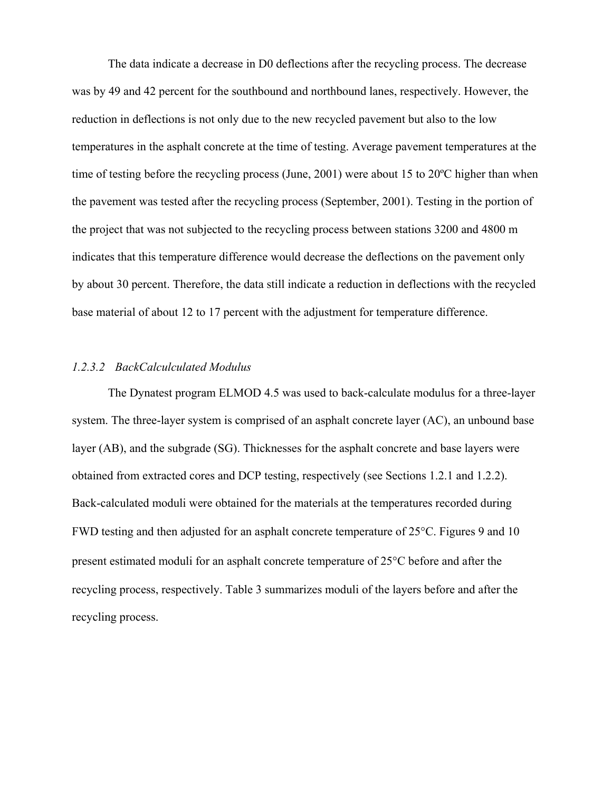The data indicate a decrease in D0 deflections after the recycling process. The decrease was by 49 and 42 percent for the southbound and northbound lanes, respectively. However, the reduction in deflections is not only due to the new recycled pavement but also to the low temperatures in the asphalt concrete at the time of testing. Average pavement temperatures at the time of testing before the recycling process (June, 2001) were about 15 to 20ºC higher than when the pavement was tested after the recycling process (September, 2001). Testing in the portion of the project that was not subjected to the recycling process between stations 3200 and 4800 m indicates that this temperature difference would decrease the deflections on the pavement only by about 30 percent. Therefore, the data still indicate a reduction in deflections with the recycled base material of about 12 to 17 percent with the adjustment for temperature difference.

#### *1.2.3.2 BackCalculculated Modulus*

 The Dynatest program ELMOD 4.5 was used to back-calculate modulus for a three-layer system. The three-layer system is comprised of an asphalt concrete layer (AC), an unbound base layer (AB), and the subgrade (SG). Thicknesses for the asphalt concrete and base layers were obtained from extracted cores and DCP testing, respectively (see Sections 1.2.1 and 1.2.2). Back-calculated moduli were obtained for the materials at the temperatures recorded during FWD testing and then adjusted for an asphalt concrete temperature of 25°C. Figures 9 and 10 present estimated moduli for an asphalt concrete temperature of 25°C before and after the recycling process, respectively. Table 3 summarizes moduli of the layers before and after the recycling process.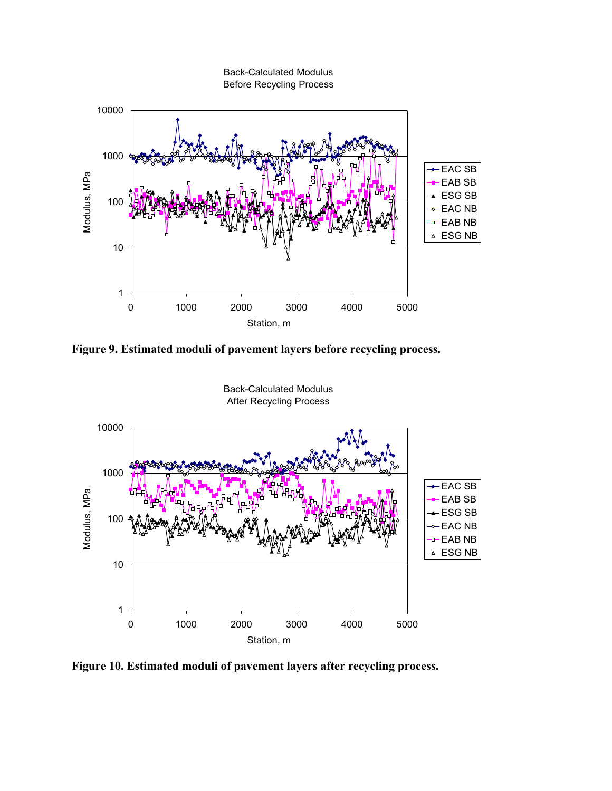

**Figure 9. Estimated moduli of pavement layers before recycling process.** 



**Figure 10. Estimated moduli of pavement layers after recycling process.**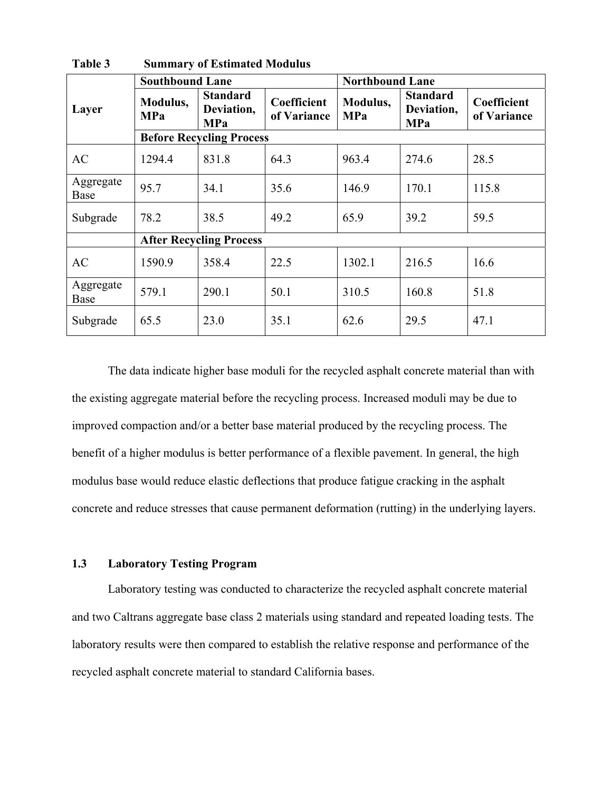|                   | <b>Southbound Lane</b>          |                                             |                            | <b>Northbound Lane</b> |                                             |                            |  |
|-------------------|---------------------------------|---------------------------------------------|----------------------------|------------------------|---------------------------------------------|----------------------------|--|
| Layer             | Modulus,<br><b>MPa</b>          | <b>Standard</b><br>Deviation,<br><b>MPa</b> | Coefficient<br>of Variance | Modulus,<br><b>MPa</b> | <b>Standard</b><br>Deviation,<br><b>MPa</b> | Coefficient<br>of Variance |  |
|                   | <b>Before Recycling Process</b> |                                             |                            |                        |                                             |                            |  |
| <b>AC</b>         | 1294.4                          | 831.8                                       | 64.3                       | 963.4                  | 274.6                                       | 28.5                       |  |
| Aggregate<br>Base | 95.7                            | 34.1                                        | 35.6                       | 146.9                  | 170.1                                       | 115.8                      |  |
| Subgrade          | 78.2                            | 38.5                                        | 49.2                       | 65.9                   | 39.2                                        | 59.5                       |  |
|                   | <b>After Recycling Process</b>  |                                             |                            |                        |                                             |                            |  |
| AC                | 1590.9                          | 358.4                                       | 22.5                       | 1302.1                 | 216.5                                       | 16.6                       |  |
| Aggregate<br>Base | 579.1                           | 290.1                                       | 50.1                       | 310.5                  | 160.8                                       | 51.8                       |  |
| Subgrade          | 65.5                            | 23.0                                        | 35.1                       | 62.6                   | 29.5                                        | 47.1                       |  |

**Table 3 Summary of Estimated Modulus** 

 The data indicate higher base moduli for the recycled asphalt concrete material than with the existing aggregate material before the recycling process. Increased moduli may be due to improved compaction and/or a better base material produced by the recycling process. The benefit of a higher modulus is better performance of a flexible pavement. In general, the high modulus base would reduce elastic deflections that produce fatigue cracking in the asphalt concrete and reduce stresses that cause permanent deformation (rutting) in the underlying layers.

# **1.3 Laboratory Testing Program**

 Laboratory testing was conducted to characterize the recycled asphalt concrete material and two Caltrans aggregate base class 2 materials using standard and repeated loading tests. The laboratory results were then compared to establish the relative response and performance of the recycled asphalt concrete material to standard California bases.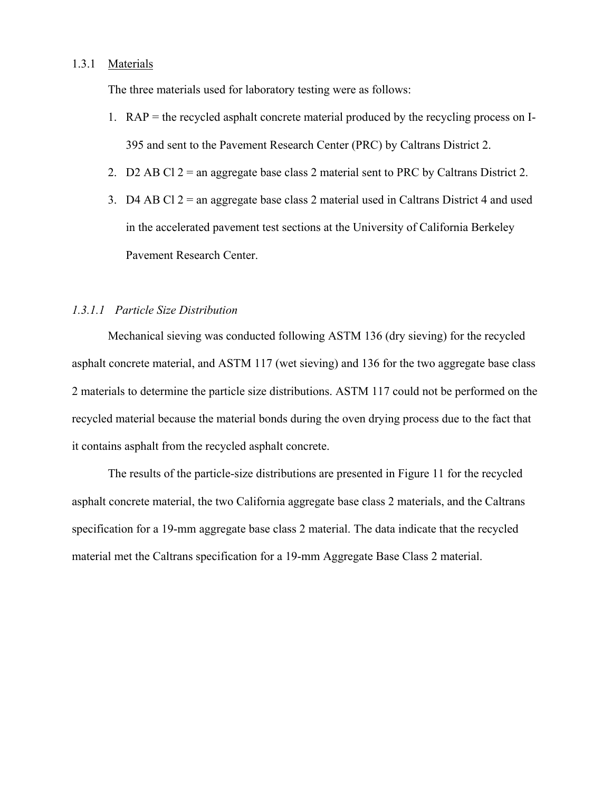## 1.3.1 Materials

The three materials used for laboratory testing were as follows:

- 1. RAP = the recycled asphalt concrete material produced by the recycling process on I-395 and sent to the Pavement Research Center (PRC) by Caltrans District 2.
- 2. D2 AB Cl  $2 =$  an aggregate base class 2 material sent to PRC by Caltrans District 2.
- 3. D4 AB Cl 2 = an aggregate base class 2 material used in Caltrans District 4 and used in the accelerated pavement test sections at the University of California Berkeley Pavement Research Center.

### *1.3.1.1 Particle Size Distribution*

 Mechanical sieving was conducted following ASTM 136 (dry sieving) for the recycled asphalt concrete material, and ASTM 117 (wet sieving) and 136 for the two aggregate base class 2 materials to determine the particle size distributions. ASTM 117 could not be performed on the recycled material because the material bonds during the oven drying process due to the fact that it contains asphalt from the recycled asphalt concrete.

 The results of the particle-size distributions are presented in Figure 11 for the recycled asphalt concrete material, the two California aggregate base class 2 materials, and the Caltrans specification for a 19-mm aggregate base class 2 material. The data indicate that the recycled material met the Caltrans specification for a 19-mm Aggregate Base Class 2 material.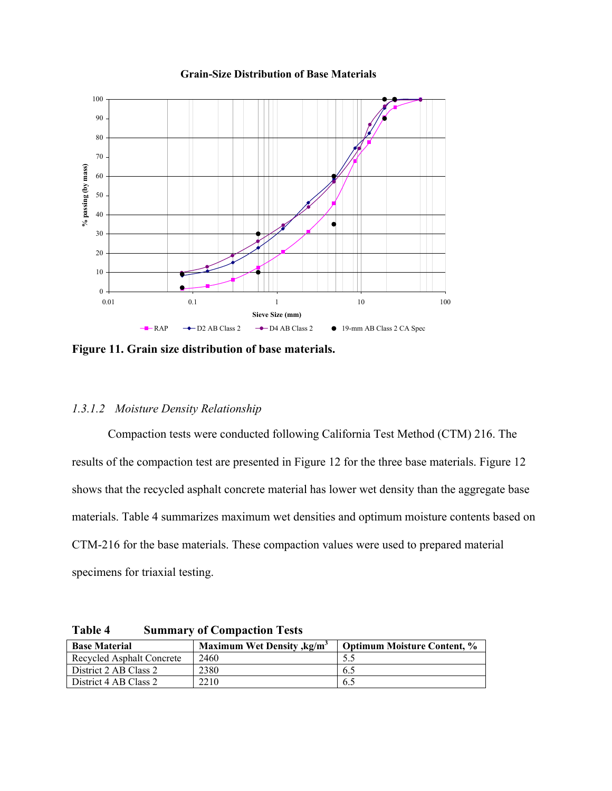#### **Grain-Size Distribution of Base Materials**



**Figure 11. Grain size distribution of base materials.** 

#### *1.3.1.2 Moisture Density Relationship*

Compaction tests were conducted following California Test Method (CTM) 216. The results of the compaction test are presented in Figure 12 for the three base materials. Figure 12 shows that the recycled asphalt concrete material has lower wet density than the aggregate base materials. Table 4 summarizes maximum wet densities and optimum moisture contents based on CTM-216 for the base materials. These compaction values were used to prepared material specimens for triaxial testing.

| <b>Base Material</b>             | <b>Maximum Wet Density, kg/m<sup>3</sup></b> | <b>Optimum Moisture Content, %</b> |
|----------------------------------|----------------------------------------------|------------------------------------|
| <b>Recycled Asphalt Concrete</b> | 2460                                         |                                    |
| District 2 AB Class 2            | 2380                                         | 6.2                                |
| District 4 AB Class 2            | 2210                                         | 0.5                                |

**Table 4 Summary of Compaction Tests**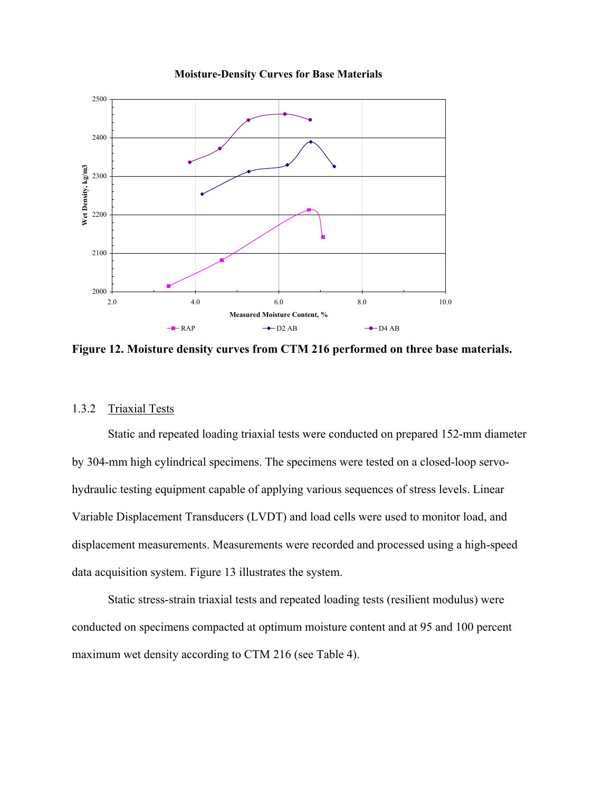

**Moisture-Density Curves for Base Materials**

**Figure 12. Moisture density curves from CTM 216 performed on three base materials.** 

# 1.3.2 Triaxial Tests

Static and repeated loading triaxial tests were conducted on prepared 152-mm diameter by 304-mm high cylindrical specimens. The specimens were tested on a closed-loop servohydraulic testing equipment capable of applying various sequences of stress levels. Linear Variable Displacement Transducers (LVDT) and load cells were used to monitor load, and displacement measurements. Measurements were recorded and processed using a high-speed data acquisition system. Figure 13 illustrates the system.

Static stress-strain triaxial tests and repeated loading tests (resilient modulus) were conducted on specimens compacted at optimum moisture content and at 95 and 100 percent maximum wet density according to CTM 216 (see Table 4).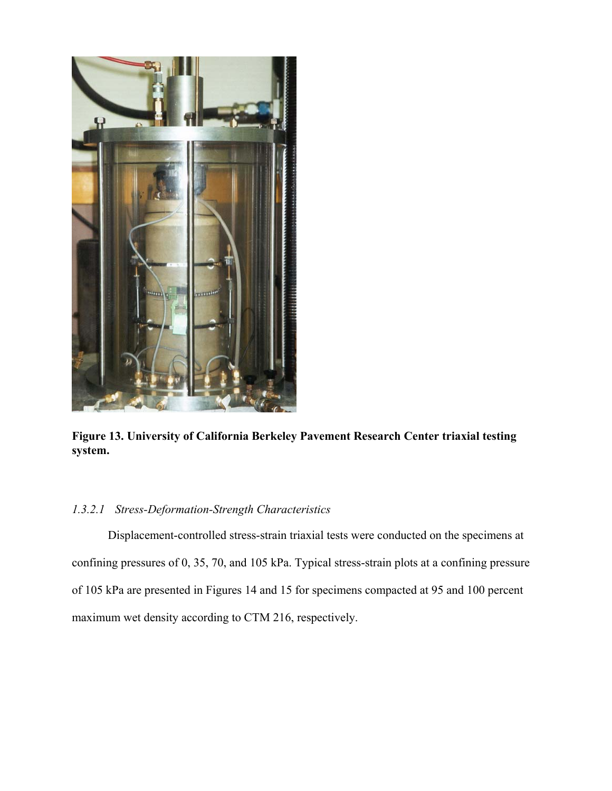

**Figure 13. University of California Berkeley Pavement Research Center triaxial testing system.** 

# *1.3.2.1 Stress-Deformation-Strength Characteristics*

Displacement-controlled stress-strain triaxial tests were conducted on the specimens at confining pressures of 0, 35, 70, and 105 kPa. Typical stress-strain plots at a confining pressure of 105 kPa are presented in Figures 14 and 15 for specimens compacted at 95 and 100 percent maximum wet density according to CTM 216, respectively.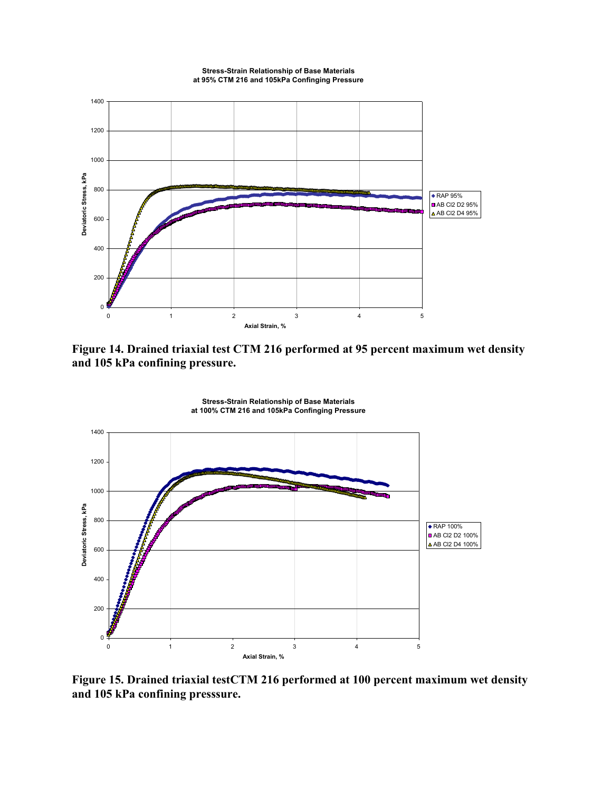

**Figure 14. Drained triaxial test CTM 216 performed at 95 percent maximum wet density and 105 kPa confining pressure.** 



**Figure 15. Drained triaxial testCTM 216 performed at 100 percent maximum wet density and 105 kPa confining presssure.**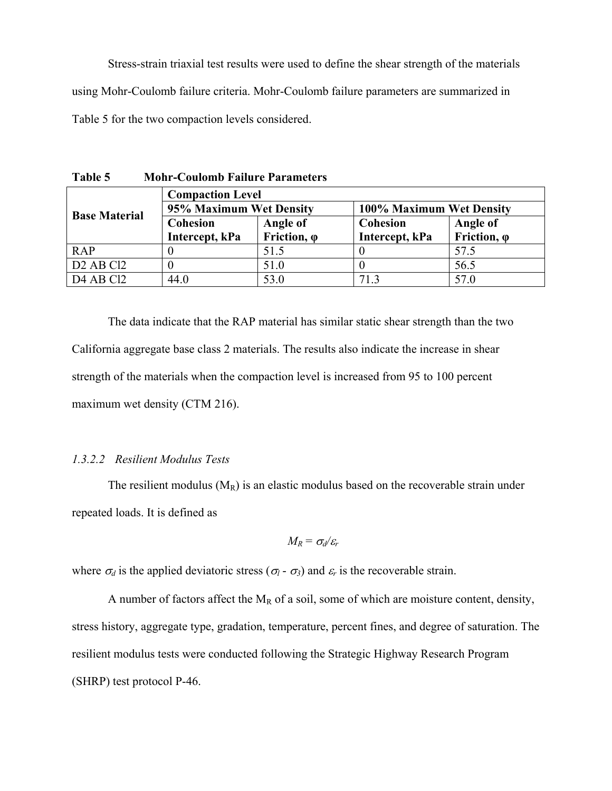Stress-strain triaxial test results were used to define the shear strength of the materials using Mohr-Coulomb failure criteria. Mohr-Coulomb failure parameters are summarized in Table 5 for the two compaction levels considered.

**Table 5 Mohr-Coulomb Failure Parameters** 

|                                   | <b>Compaction Level</b> |                             |                          |                     |  |
|-----------------------------------|-------------------------|-----------------------------|--------------------------|---------------------|--|
| <b>Base Material</b>              | 95% Maximum Wet Density |                             | 100% Maximum Wet Density |                     |  |
|                                   | Cohesion                | Angle of<br><b>Cohesion</b> |                          | Angle of            |  |
|                                   | Intercept, kPa          | Friction, $\varphi$         | Intercept, kPa           | Friction, $\varphi$ |  |
| <b>RAP</b>                        |                         | 51.5                        |                          | 57.5                |  |
| D <sub>2</sub> AB C <sub>12</sub> |                         | 51.0                        |                          | 56.5                |  |
| D <sub>4</sub> AB C <sub>12</sub> | 44.0                    | 53.0                        | 713                      | 57.0                |  |

 The data indicate that the RAP material has similar static shear strength than the two California aggregate base class 2 materials. The results also indicate the increase in shear strength of the materials when the compaction level is increased from 95 to 100 percent maximum wet density (CTM 216).

#### *1.3.2.2 Resilient Modulus Tests*

The resilient modulus  $(M_R)$  is an elastic modulus based on the recoverable strain under repeated loads. It is defined as

$$
M_R = \sigma_d/\varepsilon_r
$$

where  $\sigma_d$  is the applied deviatoric stress ( $\sigma_l$  -  $\sigma_3$ ) and  $\varepsilon_r$  is the recoverable strain.

A number of factors affect the  $M_R$  of a soil, some of which are moisture content, density, stress history, aggregate type, gradation, temperature, percent fines, and degree of saturation. The resilient modulus tests were conducted following the Strategic Highway Research Program (SHRP) test protocol P-46.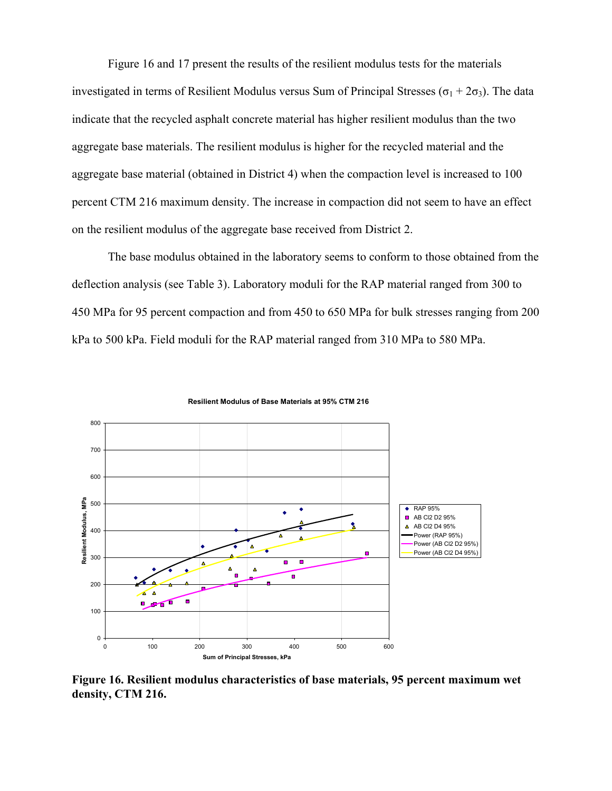Figure 16 and 17 present the results of the resilient modulus tests for the materials investigated in terms of Resilient Modulus versus Sum of Principal Stresses ( $\sigma_1 + 2\sigma_3$ ). The data indicate that the recycled asphalt concrete material has higher resilient modulus than the two aggregate base materials. The resilient modulus is higher for the recycled material and the aggregate base material (obtained in District 4) when the compaction level is increased to 100 percent CTM 216 maximum density. The increase in compaction did not seem to have an effect on the resilient modulus of the aggregate base received from District 2.

The base modulus obtained in the laboratory seems to conform to those obtained from the deflection analysis (see Table 3). Laboratory moduli for the RAP material ranged from 300 to 450 MPa for 95 percent compaction and from 450 to 650 MPa for bulk stresses ranging from 200 kPa to 500 kPa. Field moduli for the RAP material ranged from 310 MPa to 580 MPa.



**Resilient Modulus of Base Materials at 95% CTM 216**

**Figure 16. Resilient modulus characteristics of base materials, 95 percent maximum wet density, CTM 216.**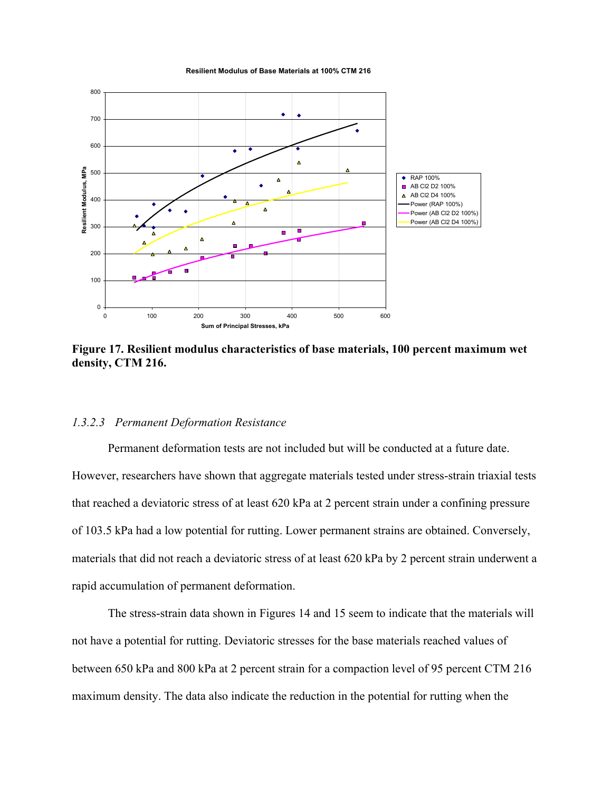**Resilient Modulus of Base Materials at 100% CTM 216**



**Figure 17. Resilient modulus characteristics of base materials, 100 percent maximum wet density, CTM 216.** 

#### *1.3.2.3 Permanent Deformation Resistance*

Permanent deformation tests are not included but will be conducted at a future date. However, researchers have shown that aggregate materials tested under stress-strain triaxial tests that reached a deviatoric stress of at least 620 kPa at 2 percent strain under a confining pressure of 103.5 kPa had a low potential for rutting. Lower permanent strains are obtained. Conversely, materials that did not reach a deviatoric stress of at least 620 kPa by 2 percent strain underwent a rapid accumulation of permanent deformation.

The stress-strain data shown in Figures 14 and 15 seem to indicate that the materials will not have a potential for rutting. Deviatoric stresses for the base materials reached values of between 650 kPa and 800 kPa at 2 percent strain for a compaction level of 95 percent CTM 216 maximum density. The data also indicate the reduction in the potential for rutting when the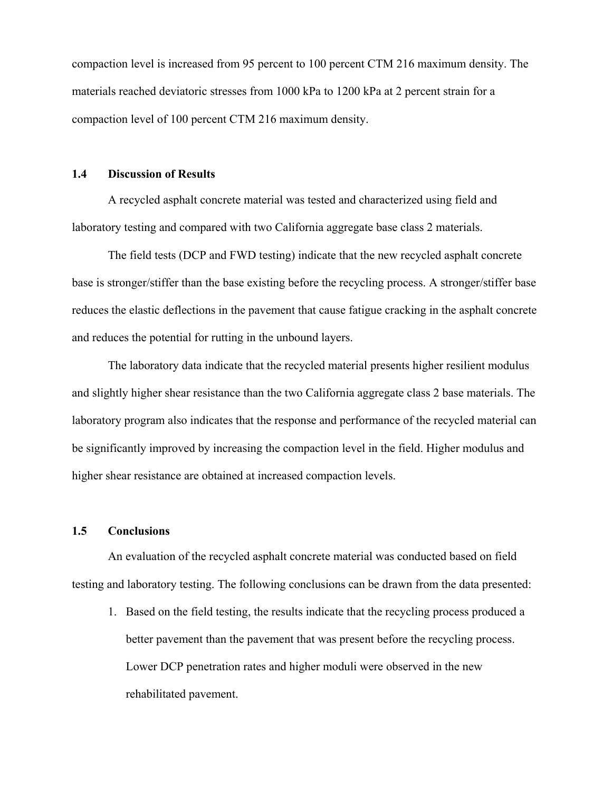compaction level is increased from 95 percent to 100 percent CTM 216 maximum density. The materials reached deviatoric stresses from 1000 kPa to 1200 kPa at 2 percent strain for a compaction level of 100 percent CTM 216 maximum density.

#### **1.4 Discussion of Results**

 A recycled asphalt concrete material was tested and characterized using field and laboratory testing and compared with two California aggregate base class 2 materials.

 The field tests (DCP and FWD testing) indicate that the new recycled asphalt concrete base is stronger/stiffer than the base existing before the recycling process. A stronger/stiffer base reduces the elastic deflections in the pavement that cause fatigue cracking in the asphalt concrete and reduces the potential for rutting in the unbound layers.

 The laboratory data indicate that the recycled material presents higher resilient modulus and slightly higher shear resistance than the two California aggregate class 2 base materials. The laboratory program also indicates that the response and performance of the recycled material can be significantly improved by increasing the compaction level in the field. Higher modulus and higher shear resistance are obtained at increased compaction levels.

#### **1.5 Conclusions**

 An evaluation of the recycled asphalt concrete material was conducted based on field testing and laboratory testing. The following conclusions can be drawn from the data presented:

1. Based on the field testing, the results indicate that the recycling process produced a better pavement than the pavement that was present before the recycling process. Lower DCP penetration rates and higher moduli were observed in the new rehabilitated pavement.